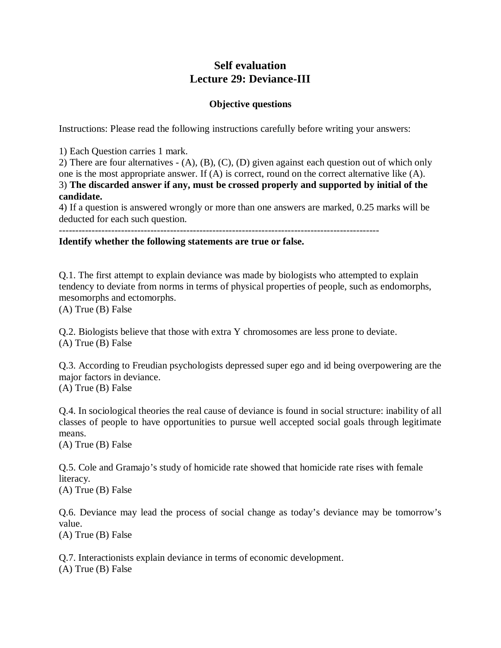# **Self evaluation Lecture 29: Deviance-III**

## **Objective questions**

Instructions: Please read the following instructions carefully before writing your answers:

1) Each Question carries 1 mark.

2) There are four alternatives - (A), (B), (C), (D) given against each question out of which only one is the most appropriate answer. If (A) is correct, round on the correct alternative like (A). 3) **The discarded answer if any, must be crossed properly and supported by initial of the candidate.**

4) If a question is answered wrongly or more than one answers are marked, 0.25 marks will be deducted for each such question.

--------------------------------------------------------------------------------------------------

#### **Identify whether the following statements are true or false.**

Q.1. The first attempt to explain deviance was made by biologists who attempted to explain tendency to deviate from norms in terms of physical properties of people, such as endomorphs, mesomorphs and ectomorphs.

(A) True (B) False

Q.2. Biologists believe that those with extra Y chromosomes are less prone to deviate. (A) True (B) False

Q.3. According to Freudian psychologists depressed super ego and id being overpowering are the major factors in deviance. (A) True (B) False

Q.4. In sociological theories the real cause of deviance is found in social structure: inability of all classes of people to have opportunities to pursue well accepted social goals through legitimate means.

(A) True (B) False

Q.5. Cole and Gramajo's study of homicide rate showed that homicide rate rises with female literacy.

(A) True (B) False

Q.6. Deviance may lead the process of social change as today's deviance may be tomorrow's value. (A) True (B) False

Q.7. Interactionists explain deviance in terms of economic development. (A) True (B) False